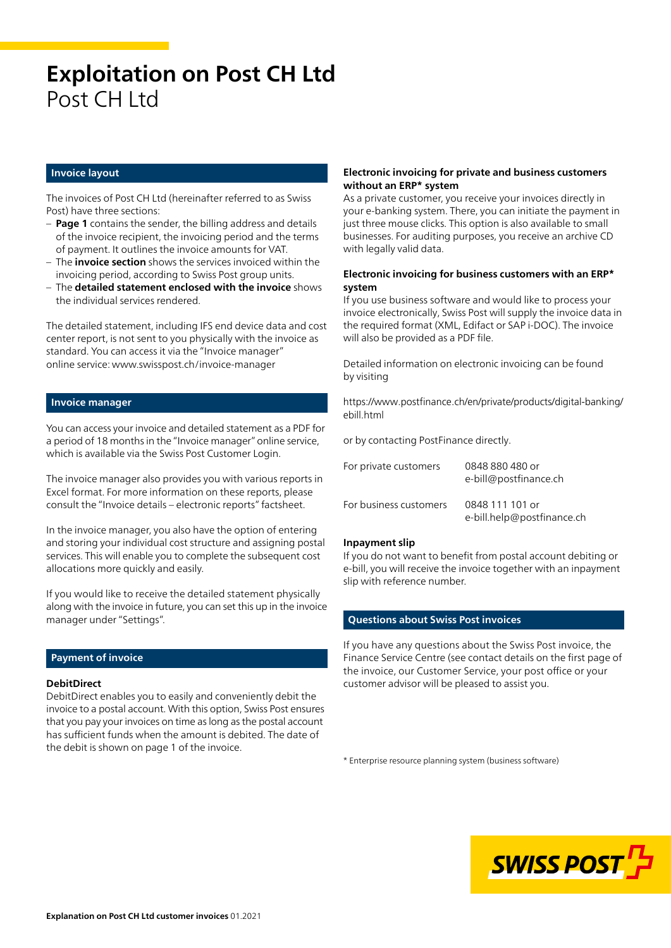# **Exploitation on Post CH Ltd** Post CH I td

#### **Invoice layout**

The invoices of Post CH Ltd (hereinafter referred to as Swiss Post) have three sections:

- **Page 1** contains the sender, the billing address and details of the invoice recipient, the invoicing period and the terms of payment. It outlines the invoice amounts for VAT.
- The **invoice section** shows the services invoiced within the invoicing period, according to Swiss Post group units.
- The **detailed statement enclosed with the invoice** shows the individual services rendered.

The detailed statement, including IFS end device data and cost center report, is not sent to you physically with the invoice as standard. You can access it via the "Invoice manager" online service: [www.swisspost.ch/invoice-manager](https://www.swisspost.ch/invoice-manager)

#### **Invoice manager**

You can access your invoice and detailed statement as a PDF for a period of 18 months in the "Invoice manager" online service, which is available via the Swiss Post Customer Login.

The invoice manager also provides you with various reports in Excel format. For more information on these reports, please consult the "Invoice details – electronic reports" factsheet.

In the invoice manager, you also have the option of entering and storing your individual cost structure and assigning postal services. This will enable you to complete the subsequent cost allocations more quickly and easily.

If you would like to receive the detailed statement physically along with the invoice in future, you can set this up in the invoice manager under "Settings".

#### **Payment of invoice**

#### **DebitDirect**

DebitDirect enables you to easily and conveniently debit the invoice to a postal account. With this option, Swiss Post ensures that you pay your invoices on time as long as the postal account has sufficient funds when the amount is debited. The date of the debit is shown on page 1 of the invoice.

#### **Electronic invoicing for private and business customers without an ERP\* system**

As a private customer, you receive your invoices directly in your e-banking system. There, you can initiate the payment in just three mouse clicks. This option is also available to small businesses. For auditing purposes, you receive an archive CD with legally valid data.

#### **Electronic invoicing for business customers with an ERP\* system**

If you use business software and would like to process your invoice electronically, Swiss Post will supply the invoice data in the required format (XML, Edifact or SAP i-DOC). The invoice will also be provided as a PDF file.

Detailed information on electronic invoicing can be found by visiting

[https://www.postfinance.ch/en/private/products/digital-banking/](https://www.postfinance.ch/en/private/products/digital-banking/ebill.html) ebill html

or by contacting PostFinance directly.

| For private customers  | 0848 880 480 or<br>e-bill@postfinance.ch      |
|------------------------|-----------------------------------------------|
| For business customers | 0848 111 101 or<br>e-bill.help@postfinance.ch |

#### **Inpayment slip**

If you do not want to benefit from postal account debiting or e-bill, you will receive the invoice together with an inpayment slip with reference number.

#### **Questions about Swiss Post invoices**

If you have any questions about the Swiss Post invoice, the Finance Service Centre (see contact details on the first page of the invoice, our Customer Service, your post office or your customer advisor will be pleased to assist you.

\* Enterprise resource planning system (business software)

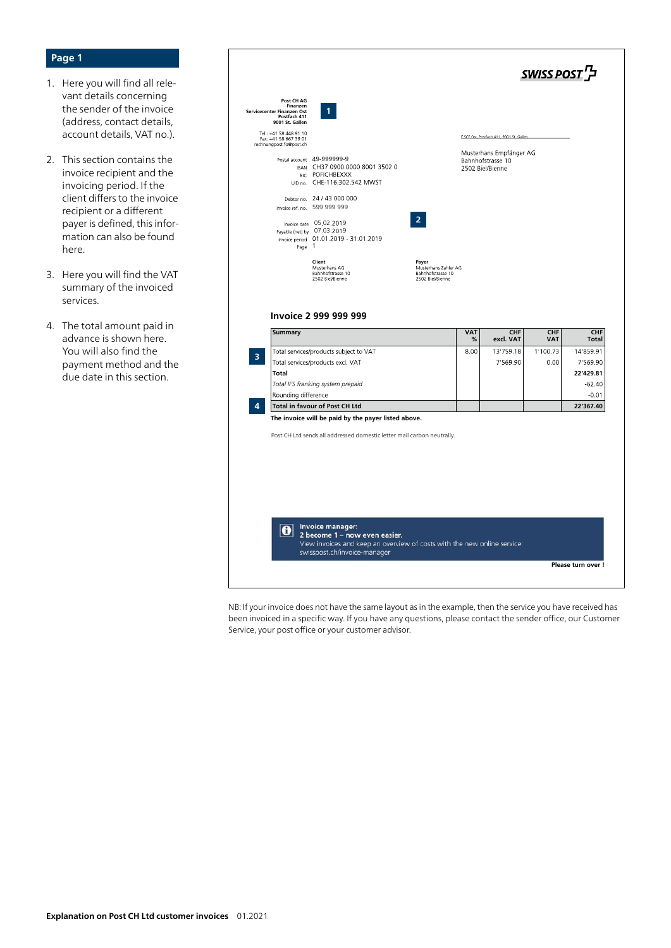## **Page 1**

- 1. Here you will find all relevant details concerning the sender of the invoice (address, contact details, account details, VAT no.).
- 2. This section contains the invoice recipient and the invoicing period. If the client differs to the invoice recipient or a different payer is defined, this information can also be found here.
- 3. Here you will find the VAT summary of the invoiced services.
- 4. The total amount paid in advance is shown here. You will also find the payment method and the due date in this section.

| Post CH AG<br>Finanzen<br>Servicecenter Finanzen Ost<br>Postfach 411<br>9001 St. Gallen | $\mathbf{1}$                                                                                                                  |                                       |                 |                                                                  |                   |                                                |
|-----------------------------------------------------------------------------------------|-------------------------------------------------------------------------------------------------------------------------------|---------------------------------------|-----------------|------------------------------------------------------------------|-------------------|------------------------------------------------|
| Tel.: +41 58 448 91 10<br>Fax: +41 58 667 39 01<br>rechnungpost.fo@post.ch              |                                                                                                                               |                                       |                 | E.SCF.Ost, Postfach 411, 9001 St. Gallen                         |                   |                                                |
|                                                                                         | Postal account 49-999999-9<br>IBAN CH37 0900 0000 8001 3502 0<br>BIC POFICHBEXXX<br>UID no. CHE-116.302.542 MWST              |                                       |                 | Musterhans Empfänger AG<br>Bahnhofstrasse 10<br>2502 Biel/Bienne |                   |                                                |
|                                                                                         | Debtor no. 24 / 43 000 000                                                                                                    |                                       |                 |                                                                  |                   |                                                |
|                                                                                         | Invoice ref. no. 599 999 999                                                                                                  |                                       |                 |                                                                  |                   |                                                |
| Page 1                                                                                  | Invoice date 05 02.2019<br>Payable (net) by 07 03.2019<br>Invoice period 01.01.2019 - 31.01.2019                              | $\overline{2}$                        |                 |                                                                  |                   |                                                |
|                                                                                         | Client<br>Musterhans AG                                                                                                       | Payer<br>Musterhans Zahler AG         |                 |                                                                  |                   |                                                |
| <b>Summary</b>                                                                          | Bahnhofstrasse 10<br>2502 Biel/Bienne<br>Invoice 2 999 999 999                                                                | Bahnhofstrasse 10<br>2502 Biel/Bienne | <b>VAT</b><br>℅ | CHF<br>excl. VAT                                                 | CHF<br><b>VAT</b> | CHF<br>Total                                   |
| $\overline{3}$<br><b>Total</b>                                                          | Total services/products subject to VAT<br>Total services/products excl. VAT<br>Total IFS franking system prepaid              |                                       | 8.00            | 13'759.18<br>7'569.90                                            | 1'100.73<br>0.00  | 14'859.91<br>7'569.90<br>22'429.81<br>$-62.40$ |
| Rounding difference<br>4                                                                | Total in favour of Post CH Ltd                                                                                                |                                       |                 |                                                                  |                   | $-0.01$<br>22'367.40                           |
|                                                                                         | The invoice will be paid by the payer listed above.<br>Post CH Ltd sends all addressed domestic letter mail carbon neutrally. |                                       |                 |                                                                  |                   |                                                |

NB: If your invoice does not have the same layout as in the example, then the service you have received has been invoiced in a specific way. If you have any questions, please contact the sender office, our Customer Service, your post office or your customer advisor.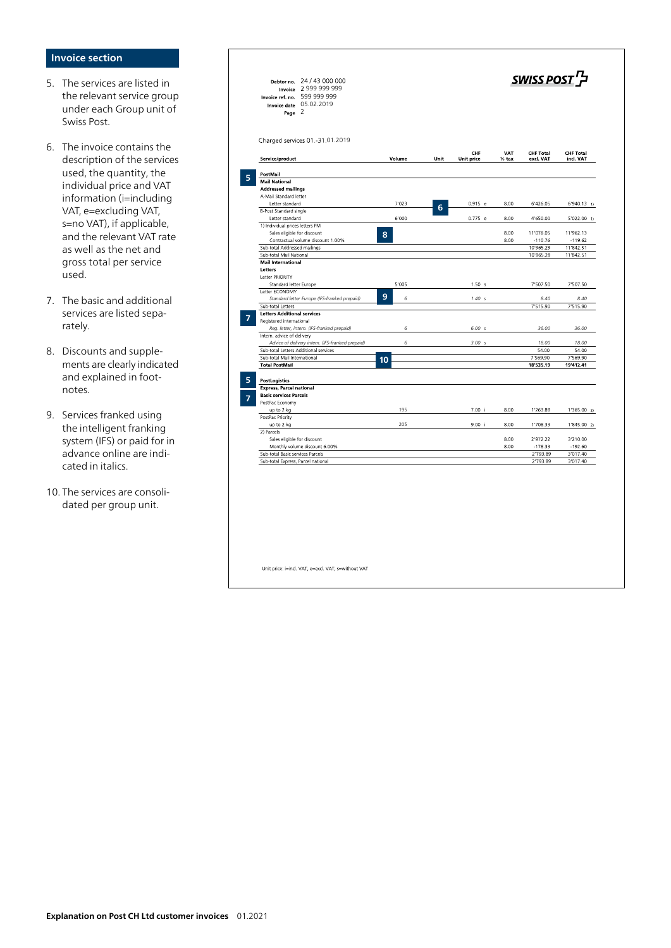## **Invoice section**

- 5. The services are listed in the relevant service group under each Group unit of Swiss Post.
- 6. The invoice contains the description of the service s used, the quantity, the individual price and VAT information (i=including VAT, e=excluding VAT, s=no VAT), if applicable, and the relevant VAT rate as well as the net and gross total per service used.
- 7. The basic and additional services are listed sepa rately.
- 8. Discounts and supple ments are clearly indicated and explained in foot notes.
- 9. Services franked using the intelligent franking system (IFS) or paid for in advance online are indi cated in italics.
- 10. The services are consoli dated per group unit.

| 24 / 43 000 000<br>Debtor no.<br>2 999 999 999<br>Invoice<br>599 999 999<br>Invoice ref. no.<br>Invoice date 05.02.2019<br>Page 2 |        |      |                          |              | ל SWISS POST                  |                               |
|-----------------------------------------------------------------------------------------------------------------------------------|--------|------|--------------------------|--------------|-------------------------------|-------------------------------|
| Charged services 01.-31.01.2019<br>Service/product                                                                                | Volume | Unit | CHF<br><b>Unit price</b> | VAT<br>% tax | <b>CHF Total</b><br>excl. VAT | <b>CHF Total</b><br>incl. VAT |
|                                                                                                                                   |        |      |                          |              |                               |                               |
| PostMail                                                                                                                          |        |      |                          |              |                               |                               |
| <b>Mail National</b>                                                                                                              |        |      |                          |              |                               |                               |
| <b>Addressed mailings</b>                                                                                                         |        |      |                          |              |                               |                               |
| A-Mail Standard letter                                                                                                            |        |      |                          |              |                               |                               |
| Letter standard                                                                                                                   | 7'023  | 6    | $0.915$ e                | 8.00         | 6'426.05                      | $6'940.13$ 1)                 |
| B-Post Standard single                                                                                                            |        |      |                          |              |                               |                               |
| Letter standard                                                                                                                   | 6'000  |      | 0.775 e                  | 8.00         | 4'650.00                      | $5'022.00$ 1)                 |
| 1) Individual prices letters PM                                                                                                   |        |      |                          |              |                               |                               |
| Sales eligible for discount                                                                                                       | 8      |      |                          | 8.00         | 11'076.05                     | 11'962.13                     |
| Contractual volume discount 1.00%                                                                                                 |        |      |                          | 8.00         | $-110.76$                     | $-119.62$                     |
| Sub-total Addressed mailings<br>Sub-total Mail National                                                                           |        |      |                          |              | 10'965.29<br>10'965.29        | 11'842.51<br>11'842.51        |
| <b>Mail International</b>                                                                                                         |        |      |                          |              |                               |                               |
| Letters                                                                                                                           |        |      |                          |              |                               |                               |
| Letter PRIORITY                                                                                                                   |        |      |                          |              |                               |                               |
| Standard letter Europe                                                                                                            | 5'005  |      | 1.50 s                   |              | 7'507.50                      | 7'507.50                      |
| Letter ECONOMY                                                                                                                    |        |      |                          |              |                               |                               |
| Standard letter Europe (IFS-franked prepaid)                                                                                      | 9<br>6 |      | 1.40 s                   |              | 8.40                          | 8.40                          |
| Sub-total Letters                                                                                                                 |        |      |                          |              | 7'515.90                      | 7'515.90                      |
| <b>Letters Additional services</b>                                                                                                |        |      |                          |              |                               |                               |
| Registered international                                                                                                          |        |      |                          |              |                               |                               |
| Req. letter, intern. (IFS-franked prepaid)                                                                                        | 6      |      | 6.00 s                   |              | 36.00                         | 36.00                         |
| Intern. advice of delivery                                                                                                        |        |      |                          |              |                               |                               |
| Advice of delivery intern. (IFS-franked prepaid)                                                                                  | 6      |      | 3.00 s                   |              | 18.00                         | 18.00                         |
| Sub-total Letters Additional services<br>Sub-total Mail International                                                             |        |      |                          |              | 54.00<br>7'569.90             | 54.00<br>7'569.90             |
| <b>Total PostMail</b>                                                                                                             | 10     |      |                          |              | 18'535.19                     | 19'412.41                     |
|                                                                                                                                   |        |      |                          |              |                               |                               |
| <b>PostLogistics</b>                                                                                                              |        |      |                          |              |                               |                               |
| <b>Express, Parcel national</b>                                                                                                   |        |      |                          |              |                               |                               |
| <b>Basic services Parcels</b>                                                                                                     |        |      |                          |              |                               |                               |
| PostPac Economy                                                                                                                   |        |      |                          |              |                               |                               |
| up to 2 kg                                                                                                                        | 195    |      | 7.00 i                   | 8.00         | 1'263.89                      | 1'365.002                     |
| PostPac Priority                                                                                                                  |        |      |                          |              |                               |                               |
| up to 2 kg                                                                                                                        | 205    |      | 9.00 i                   | 8.00         | 1'708.33                      | $1'845.00$ 2)                 |
| 2) Parcels                                                                                                                        |        |      |                          |              |                               |                               |
| Sales eligible for discount                                                                                                       |        |      |                          | 8.00         | 2'972.22                      | 3'210.00                      |
| Monthly volume discount 6.00%                                                                                                     |        |      |                          | 8.00         | $-178.33$                     | $-192.60$                     |
| Sub-total Basic services Parcels                                                                                                  |        |      |                          |              | 2'793.89<br>2'793.89          | 3'017.40<br>3'017.40          |
| Sub-total Express, Parcel national                                                                                                |        |      |                          |              |                               |                               |
|                                                                                                                                   |        |      |                          |              |                               |                               |
|                                                                                                                                   |        |      |                          |              |                               |                               |

Unit price: i=incl. VAT, e=excl. VAT, s=without VAT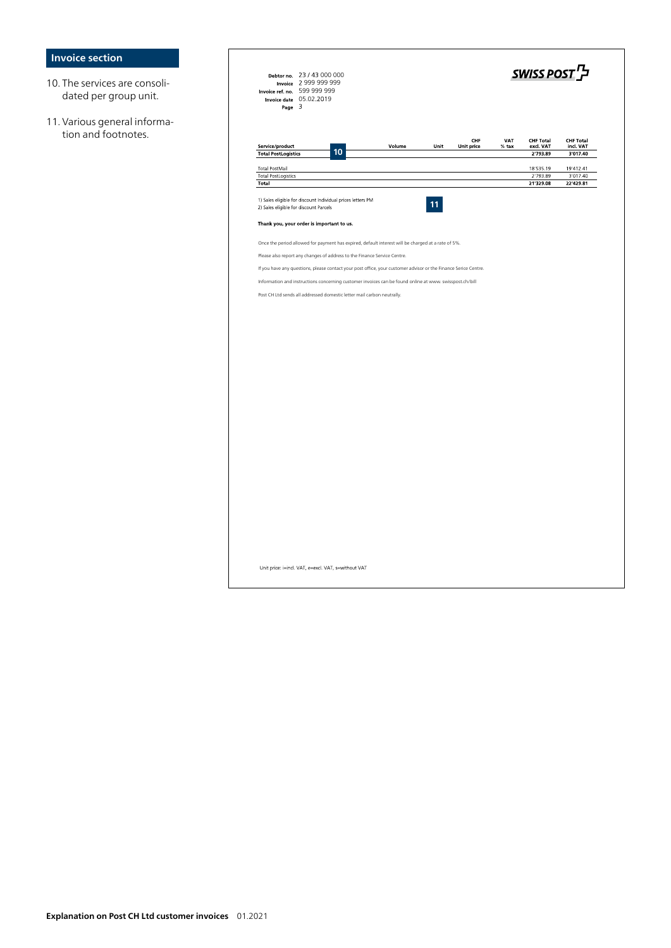## **Invoice section**

- 10. The services are consolidated per group unit.
- 11. Various general information and footnotes.

| Debtor no. 23 / 43 000 000<br>Invoice 2 999 999 999<br>Invoice ref. no. 599 999 999<br>Invoice date 05.02.2019<br>Page $3$ |        |      |                          |                | SWISS POST <sup>T</sup>                   |                                           |
|----------------------------------------------------------------------------------------------------------------------------|--------|------|--------------------------|----------------|-------------------------------------------|-------------------------------------------|
| Service/product<br>10<br><b>Total PostLogistics</b>                                                                        | Volume | Unit | CHF<br><b>Unit price</b> | VAT<br>$%$ tax | <b>CHF Total</b><br>excl. VAT<br>2'793.89 | <b>CHF Total</b><br>incl. VAT<br>3'017.40 |
| <b>Total PostMail</b>                                                                                                      |        |      |                          |                | 18'535.19                                 | 19'412.41                                 |
| <b>Total PostLogistics</b>                                                                                                 |        |      |                          |                | 2'793.89                                  | 3'017.40                                  |
| Total                                                                                                                      |        |      |                          |                | 21'329.08                                 | 22'429.81                                 |
| 1) Sales eligible for discount Individual prices letters PM<br>2) Sales eligible for discount Parcels                      |        |      |                          |                |                                           |                                           |
| Thank you, your order is important to us.                                                                                  |        |      |                          |                |                                           |                                           |
| Once the period allowed for payment has expired, default interest will be charged at a rate of 5%.                         |        |      |                          |                |                                           |                                           |
| Please also report any changes of address to the Finance Service Centre.                                                   |        |      |                          |                |                                           |                                           |
| If you have any questions, please contact your post office, your customer advisor or the Finance Serice Centre.            |        |      |                          |                |                                           |                                           |
| Information and instructions concerning customer invoices can be found online at www. swisspost.ch/bill                    |        |      |                          |                |                                           |                                           |
| Post CH Ltd sends all addressed domestic letter mail carbon neutrally.                                                     |        |      |                          |                |                                           |                                           |
|                                                                                                                            |        |      |                          |                |                                           |                                           |
|                                                                                                                            |        |      |                          |                |                                           |                                           |
|                                                                                                                            |        |      |                          |                |                                           |                                           |
|                                                                                                                            |        |      |                          |                |                                           |                                           |
|                                                                                                                            |        |      |                          |                |                                           |                                           |
|                                                                                                                            |        |      |                          |                |                                           |                                           |
|                                                                                                                            |        |      |                          |                |                                           |                                           |
|                                                                                                                            |        |      |                          |                |                                           |                                           |
|                                                                                                                            |        |      |                          |                |                                           |                                           |
|                                                                                                                            |        |      |                          |                |                                           |                                           |
|                                                                                                                            |        |      |                          |                |                                           |                                           |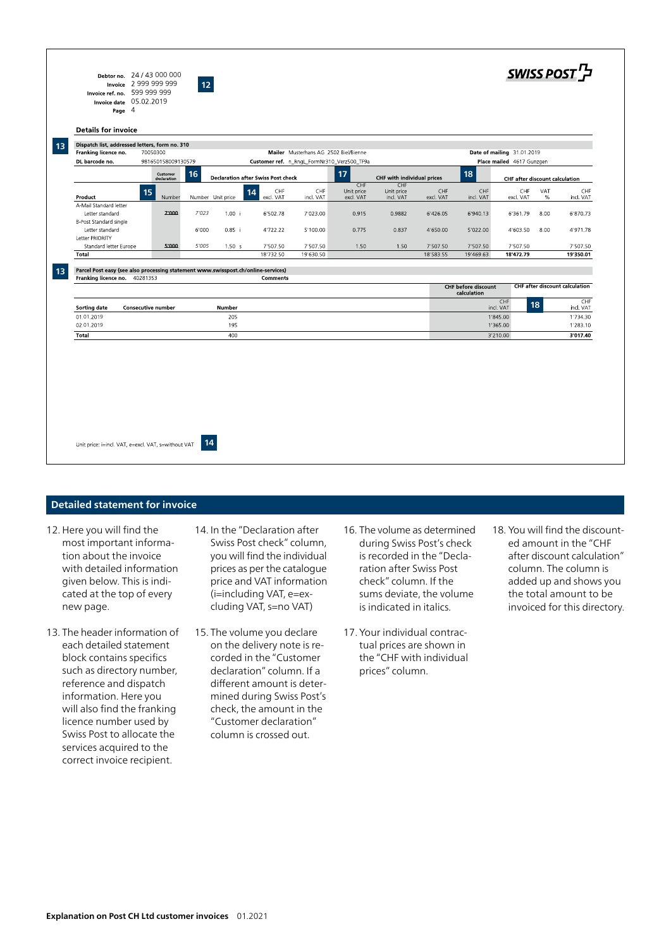|          | 981650158009130579                                                                                                                                      |        | Customer ref. n_RngL_FormNr310_Verz500_TF9a |                                                                                                                          |                                                                            |            |           |                                                             | Place mailed 4617 Gunzgen                    |                                                                                                              |                                                                                                  |
|----------|---------------------------------------------------------------------------------------------------------------------------------------------------------|--------|---------------------------------------------|--------------------------------------------------------------------------------------------------------------------------|----------------------------------------------------------------------------|------------|-----------|-------------------------------------------------------------|----------------------------------------------|--------------------------------------------------------------------------------------------------------------|--------------------------------------------------------------------------------------------------|
| Customer | 16                                                                                                                                                      |        |                                             |                                                                                                                          | 17                                                                         |            |           | 18                                                          |                                              |                                                                                                              |                                                                                                  |
|          |                                                                                                                                                         |        |                                             |                                                                                                                          | CHF                                                                        | CHF        |           |                                                             |                                              |                                                                                                              |                                                                                                  |
| 15       |                                                                                                                                                         |        |                                             |                                                                                                                          | Unit price                                                                 | Unit price |           |                                                             |                                              |                                                                                                              | CHF<br>incl. VAT                                                                                 |
|          |                                                                                                                                                         |        |                                             |                                                                                                                          |                                                                            |            |           |                                                             |                                              |                                                                                                              |                                                                                                  |
| 7'000    | 7'023                                                                                                                                                   | 1.00 i | 6'502.78                                    | 7'023.00                                                                                                                 | 0.915                                                                      | 0.9882     | 6'426.05  | 6'940.13                                                    | 6'361.79                                     | 8.00                                                                                                         | 6'870.73                                                                                         |
|          |                                                                                                                                                         |        |                                             |                                                                                                                          |                                                                            |            |           |                                                             |                                              |                                                                                                              |                                                                                                  |
|          | 6'000                                                                                                                                                   | 0.85 i | 4'722.22                                    | 5'100.00                                                                                                                 | 0.775                                                                      | 0.837      | 4'650.00  | 5'022.00                                                    | 4'603.50                                     | 8.00                                                                                                         | 4'971.78                                                                                         |
|          |                                                                                                                                                         |        |                                             |                                                                                                                          |                                                                            |            |           |                                                             |                                              |                                                                                                              |                                                                                                  |
| 5'000    | 5'005                                                                                                                                                   | 1.50 s | 7'507.50                                    | 7'507.50                                                                                                                 | 1.50                                                                       | 1.50       | 7'507.50  | 7'507.50                                                    | 7'507.50                                     |                                                                                                              | 7'507.50<br>19'350.01                                                                            |
|          |                                                                                                                                                         |        | <b>Comments</b>                             |                                                                                                                          |                                                                            |            |           |                                                             |                                              |                                                                                                              |                                                                                                  |
|          |                                                                                                                                                         |        |                                             |                                                                                                                          |                                                                            |            |           |                                                             | CHF                                          |                                                                                                              | CHF<br>ind, VAT                                                                                  |
|          |                                                                                                                                                         | 205    |                                             |                                                                                                                          |                                                                            |            |           |                                                             |                                              |                                                                                                              | 1'734.30                                                                                         |
|          |                                                                                                                                                         | 195    |                                             |                                                                                                                          |                                                                            |            |           |                                                             |                                              |                                                                                                              | 1'283.10                                                                                         |
|          |                                                                                                                                                         |        |                                             |                                                                                                                          |                                                                            |            |           |                                                             |                                              |                                                                                                              | 3'017.40                                                                                         |
|          | declaration<br>A-Mail Standard letter<br>B-Post Standard single<br>Standard letter Europe<br>Franking licence no. 40281353<br><b>Consecutive number</b> | Number | Number Unit price<br>Number<br>400          | CHF<br>14<br>excl. VAT<br>18'732.50<br>Parcel Post easy (see also processing statement www.swisspost.ch/online-services) | <b>Declaration after Swiss Post check</b><br>CHF<br>incl. VAT<br>19'630.50 | excl. VAT  | incl. VAT | CHF with individual prices<br>CHF<br>excl. VAT<br>18'583.55 | CHF<br>incl. VAT<br>19'469.63<br>calculation | CHF<br>excl. VAT<br>18'472.79<br><b>CHF before discount</b><br>incl. VAT<br>1'845.00<br>1'365.00<br>3'210.00 | <b>CHF after discount calculation</b><br>VAT<br>%<br><b>CHF after discount calculation</b><br>18 |

### **Detailed statement for invoice**

- 12. Here you will find the most important information about the invoice with detailed information given below. This is indicated at the top of every new page.
- 13. The header information of each detailed statement block contains specifics such as directory number, reference and dispatch information. Here you will also find the franking licence number used by Swiss Post to allocate the services acquired to the correct invoice recipient.
- 14. In the "Declaration after Swiss Post check" column, you will find the individual prices as per the catalogue price and VAT information (i=including VAT, e=excluding VAT, s=no VAT)
- 15. The volume you declare on the delivery note is recorded in the "Customer declaration" column. If a different amount is determined during Swiss Post's check, the amount in the "Customer declaration" column is crossed out.
- 16. The volume as determined during Swiss Post's check is recorded in the "Declaration after Swiss Post check" column. If the sums deviate, the volume is indicated in italics.
- 17. Your individual contractual prices are shown in the "CHF with individual prices" column.
- 18. You will find the discounted amount in the "CHF after discount calculation" column. The column is added up and shows you the total amount to be invoiced for this directory.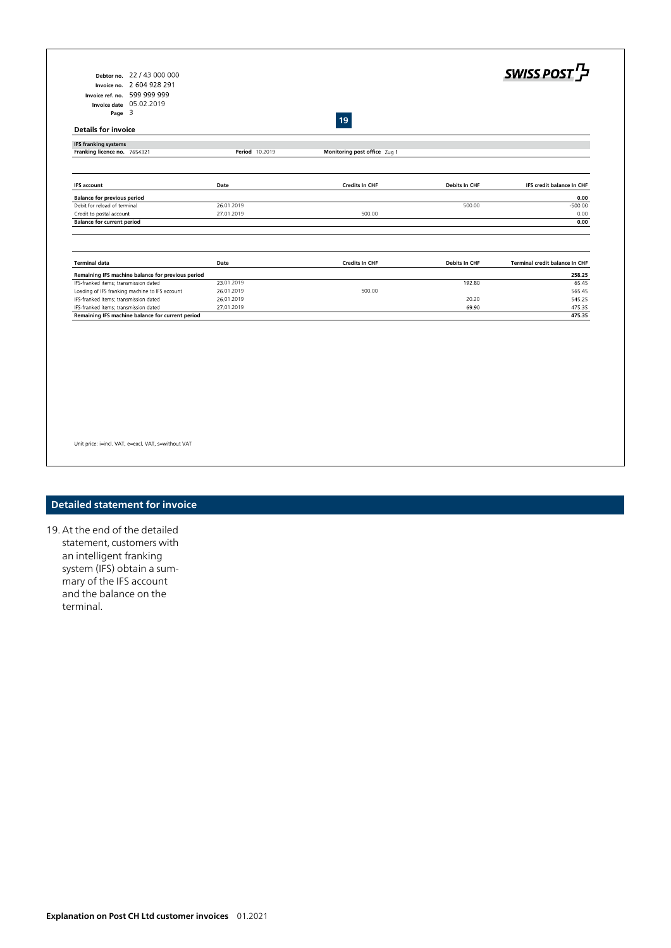| Debtor no. 22 / 43 000 000                                                                 |                |                              |                      | SWISS POST                     |
|--------------------------------------------------------------------------------------------|----------------|------------------------------|----------------------|--------------------------------|
| Invoice no. 2 604 928 291                                                                  |                |                              |                      |                                |
|                                                                                            |                |                              |                      |                                |
| Invoice ref. no. 599 999 999                                                               |                |                              |                      |                                |
| Invoice date 05.02.2019                                                                    |                |                              |                      |                                |
| Page $3$                                                                                   |                | 19                           |                      |                                |
| <b>Details for invoice</b>                                                                 |                |                              |                      |                                |
| <b>IFS franking systems</b><br>Franking licence no. 7654321                                | Period 10.2019 | Monitoring post office Zug 1 |                      |                                |
|                                                                                            |                |                              |                      |                                |
| <b>IFS account</b>                                                                         | Date           | <b>Credits In CHF</b>        | <b>Debits In CHF</b> | IFS credit balance In CHF      |
| <b>Balance for previous period</b>                                                         |                |                              |                      | 0.00                           |
| Debit for reload of terminal                                                               | 26.01.2019     |                              | 500.00               | $-500.00$                      |
| Credit to postal account                                                                   | 27.01.2019     | 500.00                       |                      | 0.00                           |
| <b>Balance for current period</b>                                                          |                |                              |                      | 0.00                           |
| <b>Terminal data</b>                                                                       | Date           | <b>Credits In CHF</b>        | <b>Debits In CHF</b> | Terminal credit balance In CHF |
|                                                                                            |                |                              |                      | 258.25                         |
| Remaining IFS machine balance for previous period<br>IFS-franked items; transmission dated | 23.01.2019     |                              | 192.80               | 65.45                          |
| Loading of IFS franking machine to IFS account                                             | 26.01.2019     | 500.00                       |                      | 565.45                         |
| IFS-franked items; transmission dated                                                      | 26.01.2019     |                              | 20.20                | 545.25                         |
| IFS-franked items; transmission dated                                                      | 27.01.2019     |                              | 69.90                | 475.35                         |
|                                                                                            |                |                              |                      | 475.35                         |
| Remaining IFS machine balance for current period                                           |                |                              |                      |                                |
|                                                                                            |                |                              |                      |                                |
|                                                                                            |                |                              |                      |                                |
|                                                                                            |                |                              |                      |                                |
|                                                                                            |                |                              |                      |                                |
|                                                                                            |                |                              |                      |                                |
|                                                                                            |                |                              |                      |                                |
|                                                                                            |                |                              |                      |                                |
|                                                                                            |                |                              |                      |                                |
|                                                                                            |                |                              |                      |                                |
|                                                                                            |                |                              |                      |                                |
|                                                                                            |                |                              |                      |                                |
|                                                                                            |                |                              |                      |                                |
| Unit price: i=incl. VAT, e=excl. VAT, s=without VAT                                        |                |                              |                      |                                |

# **Detailed statement for invoice**

19. At the end of the detailed statement, customers with an intelligent franking system (IFS) obtain a summary of the IFS account and the balance on the terminal.